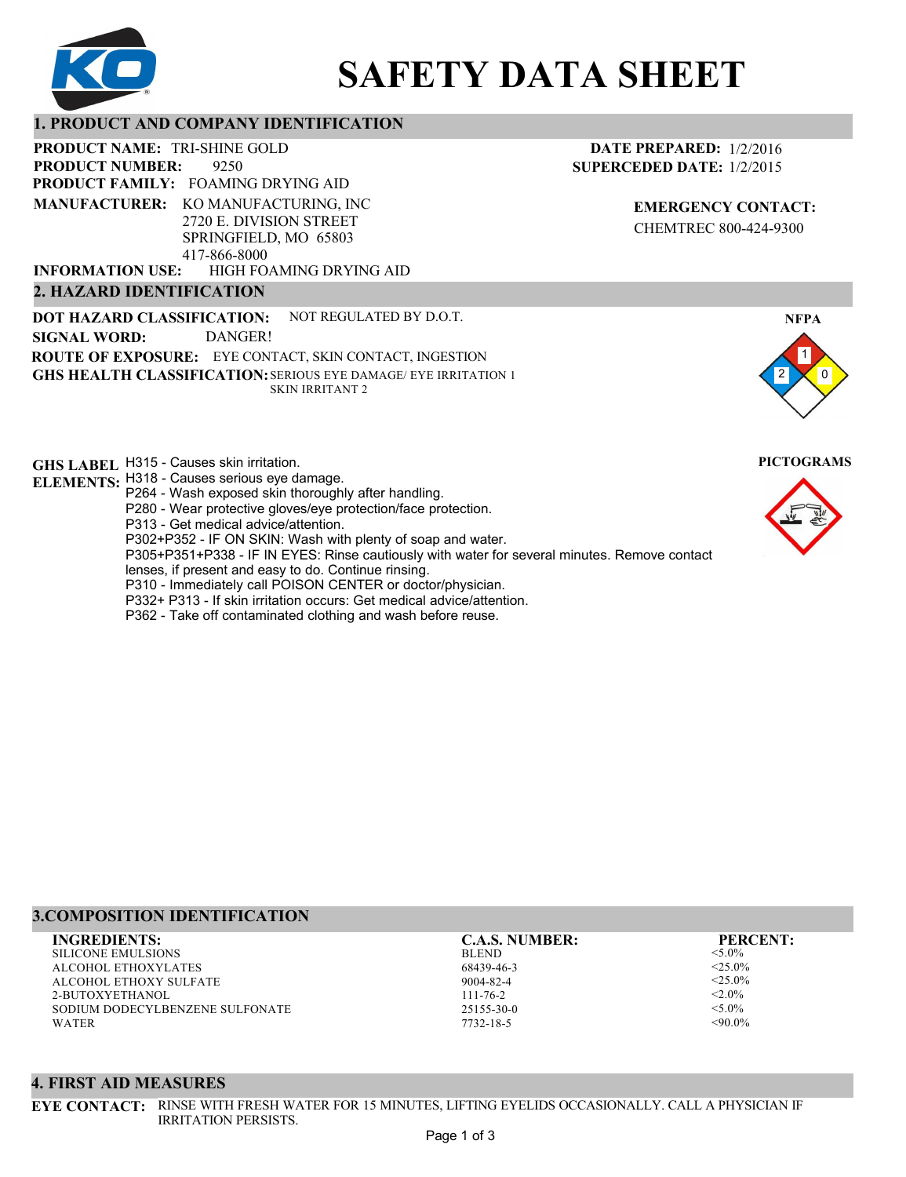

# **SAFETY DATA SHEET**

# **1. PRODUCT AND COMPANY IDENTIFICATION**

9250 PRODUCT NAME: TRI-SHINE GOLD **PRODUCT FAMILY: FOAMING DRYING AID** HIGH FOAMING DRYING AID **PRODUCT NUMBER: MANUFACTURER:** KO MANUFACTURING, INC 2720 E. DIVISION STREET SPRINGFIELD, MO 65803 417-866-8000 **INFORMATION USE:**

## **2. HAZARD IDENTIFICATION**

**DOT HAZARD CLASSIFICATION: GHS HEALTH CLASSIFICATION:** SERIOUS EYE DAMAGE/ EYE IRRITATION 1 **ROUTE OF EXPOSURE:** EYE CONTACT, SKIN CONTACT, INGESTION NOT REGULATED BY D.O.T. SKIN IRRITANT 2 **SIGNAL WORD:** DANGER!

**GHS LABEL**  H315 - Causes skin irritation. **PICTOGRAMS**

- **ELEMENTS:** H318 Causes serious eye damage.
	- P264 Wash exposed skin thoroughly after handling.
	- P280 Wear protective gloves/eye protection/face protection.
	- P313 Get medical advice/attention.
	- P302+P352 IF ON SKIN: Wash with plenty of soap and water.

P305+P351+P338 - IF IN EYES: Rinse cautiously with water for several minutes. Remove contact

- lenses, if present and easy to do. Continue rinsing.
- P310 Immediately call POISON CENTER or doctor/physician.
- P332+ P313 If skin irritation occurs: Get medical advice/attention.
- P362 Take off contaminated clothing and wash before reuse.

# **DATE PREPARED:** 1/2/2016 **SUPERCEDED DATE:** 1/2/2015

**EMERGENCY CONTACT:** CHEMTREC 800-424-9300



# **3.COMPOSITION IDENTIFICATION**

SILICONE EMULSIONS ALCOHOL ETHOXYLATES ALCOHOL ETHOXY SULFATE 2-BUTOXYETHANOL SODIUM DODECYLBENZENE SULFONATE WATER

BLEND 68439-46-3 9004-82-4 111-76-2 25155-30-0 **INGREDIENTS: C.A.S. NUMBER: PERCENT:**

7732-18-5

<5.0%  $<$ 25.0%  $<$ 25.0%  $< 2.0\%$  $< 5.0\%$  $<90.0\%$ 

#### **4. FIRST AID MEASURES**

**EYE CONTACT:** RINSE WITH FRESH WATER FOR 15 MINUTES, LIFTING EYELIDS OCCASIONALLY. CALL A PHYSICIAN IF IRRITATION PERSISTS.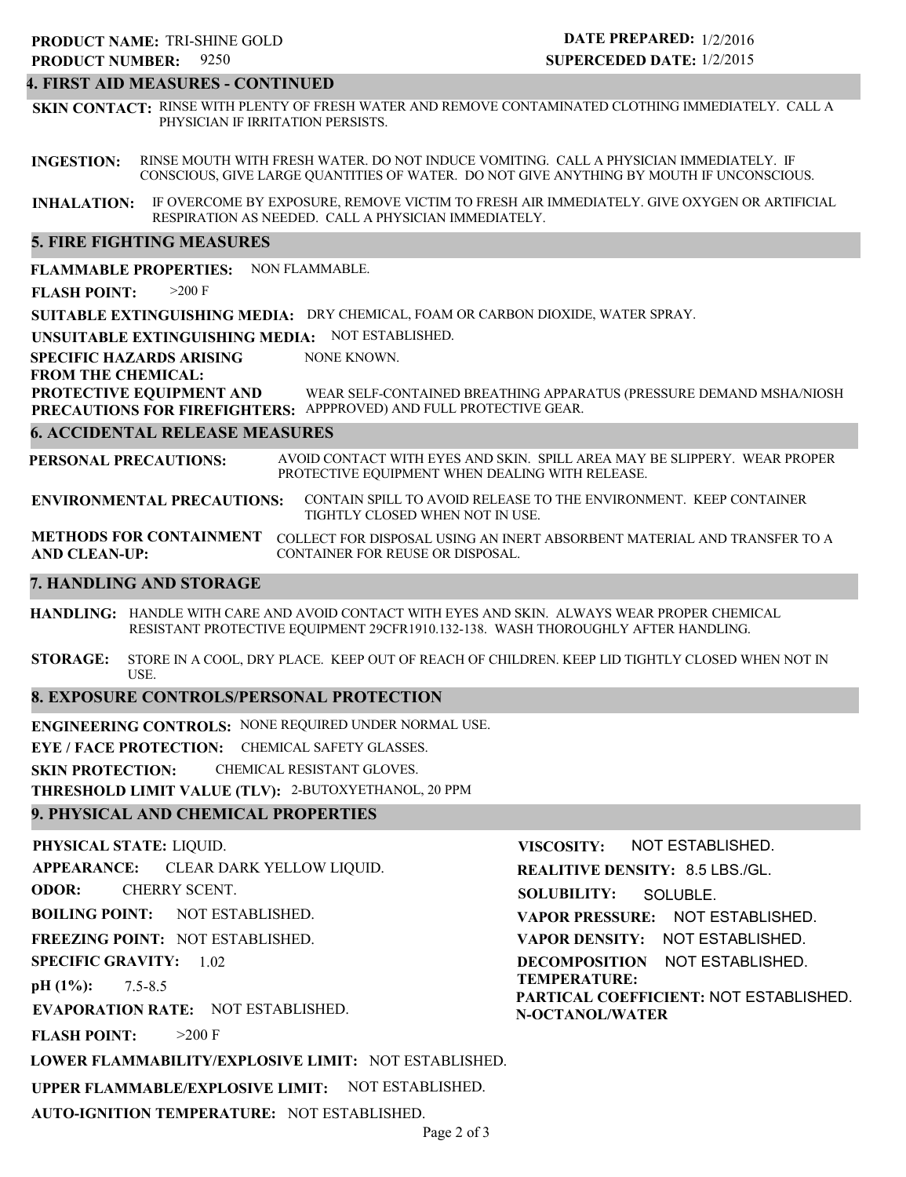#### **4. FIRST AID MEASURES - CONTINUED**

**SKIN CONTACT:** RINSE WITH PLENTY OF FRESH WATER AND REMOVE CONTAMINATED CLOTHING IMMEDIATELY. CALL A PHYSICIAN IF IRRITATION PERSISTS.

**INGESTION:** RINSE MOUTH WITH FRESH WATER. DO NOT INDUCE VOMITING. CALL A PHYSICIAN IMMEDIATELY. IF CONSCIOUS, GIVE LARGE QUANTITIES OF WATER. DO NOT GIVE ANYTHING BY MOUTH IF UNCONSCIOUS.

**INHALATION:** IF OVERCOME BY EXPOSURE, REMOVE VICTIM TO FRESH AIR IMMEDIATELY. GIVE OXYGEN OR ARTIFICIAL RESPIRATION AS NEEDED. CALL A PHYSICIAN IMMEDIATELY.

#### **5. FIRE FIGHTING MEASURES**

**FLAMMABLE PROPERTIES:** NON FLAMMABLE.

**FLASH POINT:** >200 F

**SUITABLE EXTINGUISHING MEDIA:** DRY CHEMICAL, FOAM OR CARBON DIOXIDE, WATER SPRAY.

**UNSUITABLE EXTINGUISHING MEDIA:** NOT ESTABLISHED.

**SPECIFIC HAZARDS ARISING** NONE KNOWN.

#### **FROM THE CHEMICAL:**

**PROTECTIVE EQUIPMENT AND PRECAUTIONS FOR FIREFIGHTERS:** APPPROVED) AND FULL PROTECTIVE GEAR. WEAR SELF-CONTAINED BREATHING APPARATUS (PRESSURE DEMAND MSHA/NIOSH

#### **6. ACCIDENTAL RELEASE MEASURES**

**PERSONAL PRECAUTIONS:** AVOID CONTACT WITH EYES AND SKIN. SPILL AREA MAY BE SLIPPERY. WEAR PROPER PROTECTIVE EQUIPMENT WHEN DEALING WITH RELEASE.

**ENVIRONMENTAL PRECAUTIONS:** CONTAIN SPILL TO AVOID RELEASE TO THE ENVIRONMENT. KEEP CONTAINER TIGHTLY CLOSED WHEN NOT IN USE.

**METHODS FOR CONTAINMENT** COLLECT FOR DISPOSAL USING AN INERT ABSORBENT MATERIAL AND TRANSFER TO A **AND CLEAN-UP:** CONTAINER FOR REUSE OR DISPOSAL.

#### **7. HANDLING AND STORAGE**

**HANDLING:** HANDLE WITH CARE AND AVOID CONTACT WITH EYES AND SKIN. ALWAYS WEAR PROPER CHEMICAL RESISTANT PROTECTIVE EQUIPMENT 29CFR1910.132-138. WASH THOROUGHLY AFTER HANDLING.

**STORAGE:** STORE IN A COOL, DRY PLACE. KEEP OUT OF REACH OF CHILDREN. KEEP LID TIGHTLY CLOSED WHEN NOT IN USE.

#### **8. EXPOSURE CONTROLS/PERSONAL PROTECTION**

**ENGINEERING CONTROLS:** NONE REQUIRED UNDER NORMAL USE.

**EYE / FACE PROTECTION:** CHEMICAL SAFETY GLASSES.

**SKIN PROTECTION:** CHEMICAL RESISTANT GLOVES.

**THRESHOLD LIMIT VALUE (TLV):** 2-BUTOXYETHANOL, 20 PPM

#### **9. PHYSICAL AND CHEMICAL PROPERTIES**

**PHYSICAL STATE:** LIQUID. **APPEARANCE: ODOR: BOILING POINT:** NOT ESTABLISHED. **FREEZING POINT:** NOT ESTABLISHED. **SPECIFIC GRAVITY:** 1.02 **pH (1%): EVAPORATION RATE:** NOT ESTABLISHED. **FLASH POINT: LOWER FLAMMABILITY/EXPLOSIVE LIMIT:** NOT ESTABLISHED. **UPPER FLAMMABLE/EXPLOSIVE LIMIT:** NOT ESTABLISHED. 7.5-8.5  $>200$  F CLEAR DARK YELLOW LIQUID. CHERRY SCENT. **VISCOSITY: REALITIVE DENSITY:** 8.5 LBS./GL. **SOLUBILITY: VAPOR PRESSURE:** NOT ESTABLISHED. **VAPOR DENSITY:** NOT ESTABLISHED. **DECOMPOSITION** NOT ESTABLISHED. **TEMPERATURE: PARTICAL COEFFICIENT:** NOT ESTABLISHED. **N-OCTANOL/WATER** NOT ESTABLISHED. SOLUBLE.

**AUTO-IGNITION TEMPERATURE:** NOT ESTABLISHED.